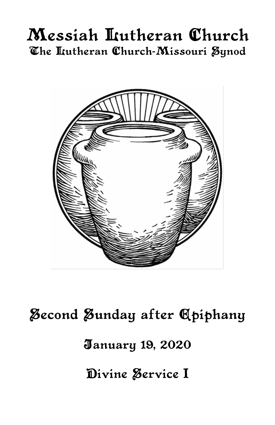# Messiah Lutheran Church The Itutheran Church-Missouri Synod



# Second Sunday after Apiphany

# **January 19, 2020**

Divine Service I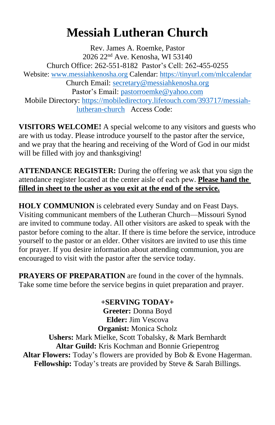# **Messiah Lutheran Church**

Rev. James A. Roemke, Pastor 2026 22nd Ave. Kenosha, WI 53140 Church Office: 262-551-8182 Pastor's Cell: 262-455-0255 Website: [www.messiahkenosha.org](http://www.messiahkenosha.org/) Calendar: <https://tinyurl.com/mlccalendar> Church Email: [secretary@messiahkenosha.org](../../2019%20PDF%20Bulletins/secretary@messiahkenosha.org) Pastor's Email: [pastorroemke@yahoo.com](mailto:pastorroemke@yahoo.com) Mobile Directory: [https://mobiledirectory.lifetouch.com/393717/messiah](https://mobiledirectory.lifetouch.com/393717/messiah-lutheran-church)[lutheran-church](https://mobiledirectory.lifetouch.com/393717/messiah-lutheran-church) Access Code:

**VISITORS WELCOME!** A special welcome to any visitors and guests who are with us today. Please introduce yourself to the pastor after the service, and we pray that the hearing and receiving of the Word of God in our midst will be filled with joy and thanksgiving!

**ATTENDANCE REGISTER:** During the offering we ask that you sign the attendance register located at the center aisle of each pew. **Please hand the filled in sheet to the usher as you exit at the end of the service.**

**HOLY COMMUNION** is celebrated every Sunday and on Feast Days. Visiting communicant members of the Lutheran Church—Missouri Synod are invited to commune today. All other visitors are asked to speak with the pastor before coming to the altar. If there is time before the service, introduce yourself to the pastor or an elder. Other visitors are invited to use this time for prayer. If you desire information about attending communion, you are encouraged to visit with the pastor after the service today.

**PRAYERS OF PREPARATION** are found in the cover of the hymnals. Take some time before the service begins in quiet preparation and prayer.

# **+SERVING TODAY+**

**Greeter:** Donna Boyd **Elder:** Jim Vescova **Organist:** Monica Scholz **Ushers:** Mark Mielke, Scott Tobalsky, & Mark Bernhardt **Altar Guild:** Kris Kochman and Bonnie Griepentrog **Altar Flowers:** Today's flowers are provided by Bob & Evone Hagerman. **Fellowship:** Today's treats are provided by Steve & Sarah Billings.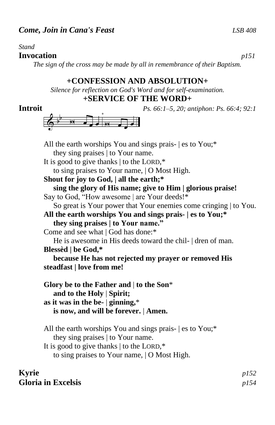### *Stand*

## **Invocation** *p151*

*The sign of the cross may be made by all in remembrance of their Baptism.*

# **+CONFESSION AND ABSOLUTION+**

*Silence for reflection on God's Word and for self-examination.*

# **+SERVICE OF THE WORD+**

**Introit** *Ps. 66:1–5, 20; antiphon: Ps. 66:4; 92:1*



All the earth worships You and sings prais-  $|$  es to You;<sup>\*</sup> they sing praises | to Your name. It is good to give thanks | to the LORD,\* to sing praises to Your name, | O Most High. **Shout for joy to God, | all the earth;\* sing the glory of His name; give to Him | glorious praise!** Say to God, "How awesome | are Your deeds!\* So great is Your power that Your enemies come cringing | to You. **All the earth worships You and sings prais- | es to You;\* they sing praises | to Your name."** Come and see what | God has done:\* He is awesome in His deeds toward the chil- | dren of man. **Blessèd | be God,\* because He has not rejected my prayer or removed His steadfast | love from me! Glory be to the Father and** | **to the Son**\*  **and to the Holy** | **Spirit; as it was in the be-** | **ginning,**\*  **is now, and will be forever.** | **Amen.** All the earth worships You and sings prais- | es to You;\* they sing praises | to Your name. It is good to give thanks | to the LORD,\* to sing praises to Your name, | O Most High.

# **Kyrie** *p152* **Gloria in Excelsis** *p154*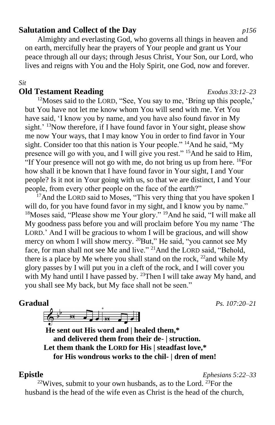### **Salutation and Collect of the Day** *p156*

Almighty and everlasting God, who governs all things in heaven and on earth, mercifully hear the prayers of Your people and grant us Your peace through all our days; through Jesus Christ, Your Son, our Lord, who lives and reigns with You and the Holy Spirit, one God, now and forever.

### *Sit*

### **Old Testament Reading** *Exodus 33:12–23*

<sup>12</sup>Moses said to the LORD, "See, You say to me, 'Bring up this people,' but You have not let me know whom You will send with me. Yet You have said, 'I know you by name, and you have also found favor in My sight.' <sup>13</sup>Now therefore, if I have found favor in Your sight, please show me now Your ways, that I may know You in order to find favor in Your sight. Consider too that this nation is Your people." <sup>14</sup>And he said, "My presence will go with you, and I will give you rest." <sup>15</sup>And he said to Him, "If Your presence will not go with me, do not bring us up from here. <sup>16</sup>For how shall it be known that I have found favor in Your sight, I and Your people? Is it not in Your going with us, so that we are distinct, I and Your people, from every other people on the face of the earth?"

 $17$ And the LORD said to Moses, "This very thing that you have spoken I will do, for you have found favor in my sight, and I know you by name." <sup>18</sup>Moses said, "Please show me Your glory." <sup>19</sup>And he said, "I will make all My goodness pass before you and will proclaim before You my name 'The LORD.' And I will be gracious to whom I will be gracious, and will show mercy on whom I will show mercy. <sup>20</sup>But," He said, "you cannot see My face, for man shall not see Me and live." <sup>21</sup>And the LORD said, "Behold, there is a place by Me where you shall stand on the rock,  $^{22}$  and while My glory passes by I will put you in a cleft of the rock, and I will cover you with  $My$  hand until I have passed by. <sup>23</sup>Then I will take away  $My$  hand, and you shall see My back, but My face shall not be seen."

## **Gradual** *Ps. 107:20–21*

**He sent out His word and | healed them,\* and delivered them from their de- | struction. Let them thank the LORD for His | steadfast love,\* for His wondrous works to the chil- | dren of men!**

**Epistle** *Ephesians 5:22–33*

 $22W$ ives, submit to your own husbands, as to the Lord.  $23$  For the husband is the head of the wife even as Christ is the head of the church,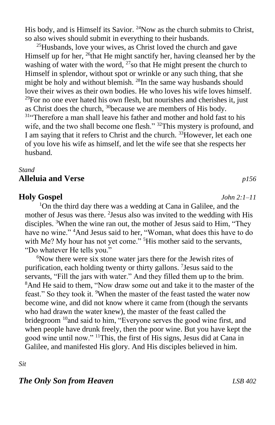His body, and is Himself its Savior. <sup>24</sup>Now as the church submits to Christ, so also wives should submit in everything to their husbands.

 $^{25}$ Husbands, love your wives, as Christ loved the church and gave Himself up for her, <sup>26</sup>that He might sanctify her, having cleansed her by the washing of water with the word,  $^{27}$ so that He might present the church to Himself in splendor, without spot or wrinkle or any such thing, that she might be holy and without blemish. <sup>28</sup>In the same way husbands should love their wives as their own bodies. He who loves his wife loves himself.  $29$ For no one ever hated his own flesh, but nourishes and cherishes it, just as Christ does the church, <sup>30</sup>because we are members of His body. <sup>31</sup> Therefore a man shall leave his father and mother and hold fast to his wife, and the two shall become one flesh." <sup>32</sup>This mystery is profound, and I am saying that it refers to Christ and the church. <sup>33</sup>However, let each one of you love his wife as himself, and let the wife see that she respects her husband.

### *Stand*

### **Alleluia and Verse** *p156*

## **Holy Gospel** *John 2:1–11*

<sup>1</sup>On the third day there was a wedding at Cana in Galilee, and the mother of Jesus was there. <sup>2</sup> Jesus also was invited to the wedding with His disciples. <sup>3</sup>When the wine ran out, the mother of Jesus said to Him, "They have no wine." <sup>4</sup>And Jesus said to her, "Woman, what does this have to do with Me? My hour has not yet come." <sup>5</sup>His mother said to the servants, "Do whatever He tells you."

<sup>6</sup>Now there were six stone water jars there for the Jewish rites of purification, each holding twenty or thirty gallons. <sup>7</sup> Jesus said to the servants, "Fill the jars with water." And they filled them up to the brim. <sup>8</sup>And He said to them, "Now draw some out and take it to the master of the feast." So they took it. <sup>9</sup>When the master of the feast tasted the water now become wine, and did not know where it came from (though the servants who had drawn the water knew), the master of the feast called the bridegroom <sup>10</sup> and said to him, "Everyone serves the good wine first, and when people have drunk freely, then the poor wine. But you have kept the good wine until now." <sup>11</sup>This, the first of His signs, Jesus did at Cana in Galilee, and manifested His glory. And His disciples believed in him.

*Sit*

### *The Only Son from Heaven LSB 402*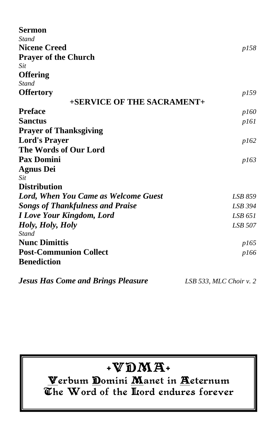| <b>Sermon</b>                               |             |
|---------------------------------------------|-------------|
| <b>Stand</b>                                |             |
| <b>Nicene Creed</b>                         | p158        |
| <b>Prayer of the Church</b>                 |             |
| Sit                                         |             |
| <b>Offering</b>                             |             |
| <b>Stand</b>                                |             |
| <b>Offertory</b>                            | p159        |
| +SERVICE OF THE SACRAMENT+                  |             |
| <b>Preface</b>                              | <i>p160</i> |
| <b>Sanctus</b>                              | p161        |
| <b>Prayer of Thanksgiving</b>               |             |
| <b>Lord's Prayer</b>                        | p162        |
| The Words of Our Lord                       |             |
| <b>Pax Domini</b>                           | p163        |
| <b>Agnus Dei</b>                            |             |
| Sit                                         |             |
| <b>Distribution</b>                         |             |
| <b>Lord, When You Came as Welcome Guest</b> | LSB 859     |
| <b>Songs of Thankfulness and Praise</b>     | LSB 394     |
| I Love Your Kingdom, Lord                   | LSB 651     |
| Holy, Holy, Holy                            | LSB 507     |
| <b>Stand</b>                                |             |
| <b>Nunc Dimittis</b>                        | <i>p165</i> |
| <b>Post-Communion Collect</b>               | <i>p166</i> |
| <b>Benediction</b>                          |             |
|                                             |             |

*Jesus Has Come and Brings Pleasure LSB 533, MLC Choir v. 2*

# $\mathbf{W} \mathbf{D} \mathbf{M} \mathbf{A}$

Verbum Domini Manet in Aeternum The Word of the Lord endures forever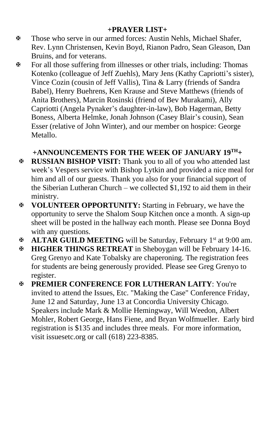## **+PRAYER LIST+**

- Those who serve in our armed forces: Austin Nehls, Michael Shafer, Rev. Lynn Christensen, Kevin Boyd, Rianon Padro, Sean Gleason, Dan Bruins, and for veterans.
- $\mathbb F$  For all those suffering from illnesses or other trials, including: Thomas Kotenko (colleague of Jeff Zuehls), Mary Jens (Kathy Capriotti's sister), Vince Cozin (cousin of Jeff Vallis), Tina & Larry (friends of Sandra Babel), Henry Buehrens, Ken Krause and Steve Matthews (friends of Anita Brothers), Marcin Rosinski (friend of Bev Murakami), Ally Capriotti (Angela Pynaker's daughter-in-law), Bob Hagerman, Betty Boness, Alberta Helmke, Jonah Johnson (Casey Blair's cousin), Sean Esser (relative of John Winter), and our member on hospice: George Metallo.

# **+ANNOUNCEMENTS FOR THE WEEK OF JANUARY 19 TH+**

- **RUSSIAN BISHOP VISIT:** Thank you to all of you who attended last week's Vespers service with Bishop Lytkin and provided a nice meal for him and all of our guests. Thank you also for your financial support of the Siberian Lutheran Church – we collected \$1,192 to aid them in their ministry.
- **VOLUNTEER OPPORTUNITY:** Starting in February, we have the opportunity to serve the Shalom Soup Kitchen once a month. A sign-up sheet will be posted in the hallway each month. Please see Donna Boyd with any questions.
- **ALTAR GUILD MEETING** will be Saturday, February 1<sup>st</sup> at 9:00 am.
- **HIGHER THINGS RETREAT** in Sheboygan will be February 14-16. Greg Grenyo and Kate Tobalsky are chaperoning. The registration fees for students are being generously provided. Please see Greg Grenyo to register.
- **PREMIER CONFERENCE FOR LUTHERAN LAITY**: You're invited to attend the Issues, Etc. "Making the Case" Conference Friday, June 12 and Saturday, June 13 at Concordia University Chicago. Speakers include Mark & Mollie Hemingway, Will Weedon, Albert Mohler, Robert George, Hans Fiene, and Bryan Wolfmueller. Early bird registration is \$135 and includes three meals. For more information, visit issuesetc.org or call (618) 223-8385.